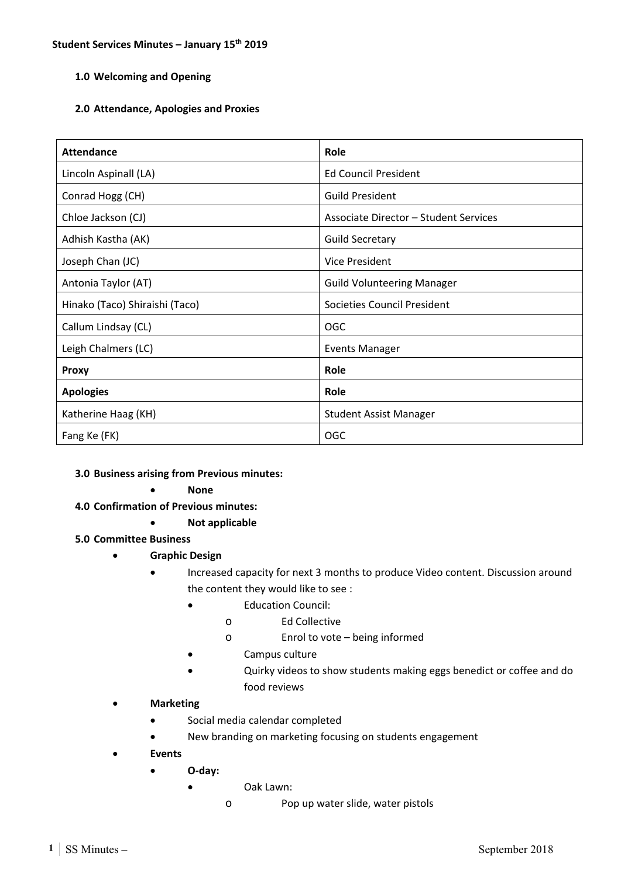# **1.0 Welcoming and Opening**

## **2.0 Attendance, Apologies and Proxies**

| <b>Attendance</b>              | Role                                         |
|--------------------------------|----------------------------------------------|
| Lincoln Aspinall (LA)          | <b>Ed Council President</b>                  |
| Conrad Hogg (CH)               | <b>Guild President</b>                       |
| Chloe Jackson (CJ)             | <b>Associate Director - Student Services</b> |
| Adhish Kastha (AK)             | <b>Guild Secretary</b>                       |
| Joseph Chan (JC)               | Vice President                               |
| Antonia Taylor (AT)            | <b>Guild Volunteering Manager</b>            |
| Hinako (Taco) Shiraishi (Taco) | Societies Council President                  |
| Callum Lindsay (CL)            | <b>OGC</b>                                   |
| Leigh Chalmers (LC)            | <b>Events Manager</b>                        |
| <b>Proxy</b>                   | Role                                         |
| <b>Apologies</b>               | Role                                         |
| Katherine Haag (KH)            | <b>Student Assist Manager</b>                |
| Fang Ke (FK)                   | <b>OGC</b>                                   |

#### **3.0 Business arising from Previous minutes:**

#### **None**

- **4.0 Confirmation of Previous minutes:** 
	- **Not applicable**

# **5.0 Committee Business**

- **Graphic Design** 
	- Increased capacity for next 3 months to produce Video content. Discussion around the content they would like to see :
		- Education Council:
			- o Ed Collective
			- o Enrol to vote being informed
		- Campus culture
		- Quirky videos to show students making eggs benedict or coffee and do food reviews
- **Marketing** 
	- Social media calendar completed
	- New branding on marketing focusing on students engagement
- **Events** 
	- **O‐day:** 
		- Oak Lawn:
			- o Pop up water slide, water pistols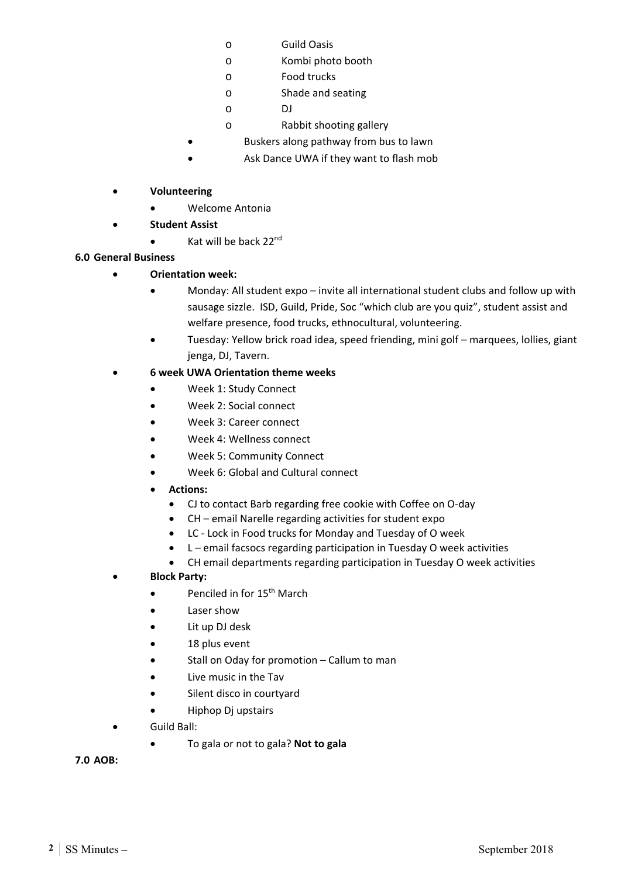- o Guild Oasis
- o Kombi photo booth
- o Food trucks
- o Shade and seating
- o DJ
- o Rabbit shooting gallery
- Buskers along pathway from bus to lawn
- Ask Dance UWA if they want to flash mob
- **Volunteering** 
	- Welcome Antonia
- **Student Assist** 
	- $\bullet$  Kat will be back 22<sup>nd</sup>

# **6.0 General Business**

- **Orientation week:** 
	- Monday: All student expo invite all international student clubs and follow up with sausage sizzle. ISD, Guild, Pride, Soc "which club are you quiz", student assist and welfare presence, food trucks, ethnocultural, volunteering.
	- Tuesday: Yellow brick road idea, speed friending, mini golf marquees, lollies, giant jenga, DJ, Tavern.

# **6 week UWA Orientation theme weeks**

- Week 1: Study Connect
- Week 2: Social connect
- Week 3: Career connect
- Week 4: Wellness connect
- Week 5: Community Connect
- Week 6: Global and Cultural connect
- **Actions:** 
	- CJ to contact Barb regarding free cookie with Coffee on O-day
	- CH email Narelle regarding activities for student expo
	- LC ‐ Lock in Food trucks for Monday and Tuesday of O week
	- L email facsocs regarding participation in Tuesday O week activities
	- CH email departments regarding participation in Tuesday O week activities
- **Block Party:** 
	- Penciled in for 15<sup>th</sup> March
	- Laser show
	- Lit up DJ desk
	- 18 plus event
	- Stall on Oday for promotion Callum to man
	- Live music in the Tav
	- Silent disco in courtyard
	- Hiphop Dj upstairs
- Guild Ball:
	- To gala or not to gala? **Not to gala**

**7.0 AOB:**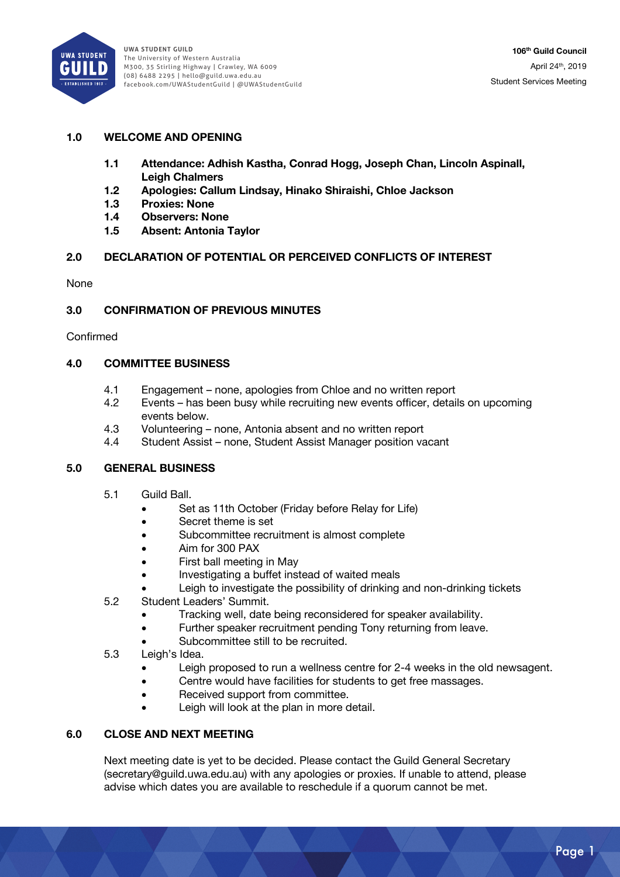

**UWA StUdent GUild**  The University of Western Australia M300, 35 Stirling Highway | Crawley, WA 6009 (08) 6488 2295 | hello@guild.uwa.edu.au facebook.com/UWAStudentGuild | @UWAStudentGuild

## **1.0 WELCOME AND OPENING**

- **1.1 Attendance: Adhish Kastha, Conrad Hogg, Joseph Chan, Lincoln Aspinall, Leigh Chalmers**
- **1.2 Apologies: Callum Lindsay, Hinako Shiraishi, Chloe Jackson**
- **1.3 Proxies: None**
- **1.4 Observers: None**
- **1.5 Absent: Antonia Taylor**

#### **2.0 DECLARATION OF POTENTIAL OR PERCEIVED CONFLICTS OF INTEREST**

None

#### **3.0 CONFIRMATION OF PREVIOUS MINUTES**

Confirmed

#### **4.0 COMMITTEE BUSINESS**

- 4.1 Engagement none, apologies from Chloe and no written report
- 4.2 Events has been busy while recruiting new events officer, details on upcoming events below.
- 4.3 Volunteering none, Antonia absent and no written report
- 4.4 Student Assist none, Student Assist Manager position vacant

#### **5.0 GENERAL BUSINESS**

- 5.1 Guild Ball.
	- Set as 11th October (Friday before Relay for Life)
	- Secret theme is set
	- Subcommittee recruitment is almost complete
	- Aim for 300 PAX
	- First ball meeting in May
	- Investigating a buffet instead of waited meals
	- Leigh to investigate the possibility of drinking and non-drinking tickets
- 5.2 Student Leaders' Summit.
	- Tracking well, date being reconsidered for speaker availability.
	- Further speaker recruitment pending Tony returning from leave.
	- Subcommittee still to be recruited.
- 5.3 Leigh's Idea.
	- Leigh proposed to run a wellness centre for 2-4 weeks in the old newsagent.
	- Centre would have facilities for students to get free massages.
	- Received support from committee.
	- Leigh will look at the plan in more detail.

#### **6.0 CLOSE AND NEXT MEETING**

Next meeting date is yet to be decided. Please contact the Guild General Secretary (secretary@guild.uwa.edu.au) with any apologies or proxies. If unable to attend, please advise which dates you are available to reschedule if a quorum cannot be met.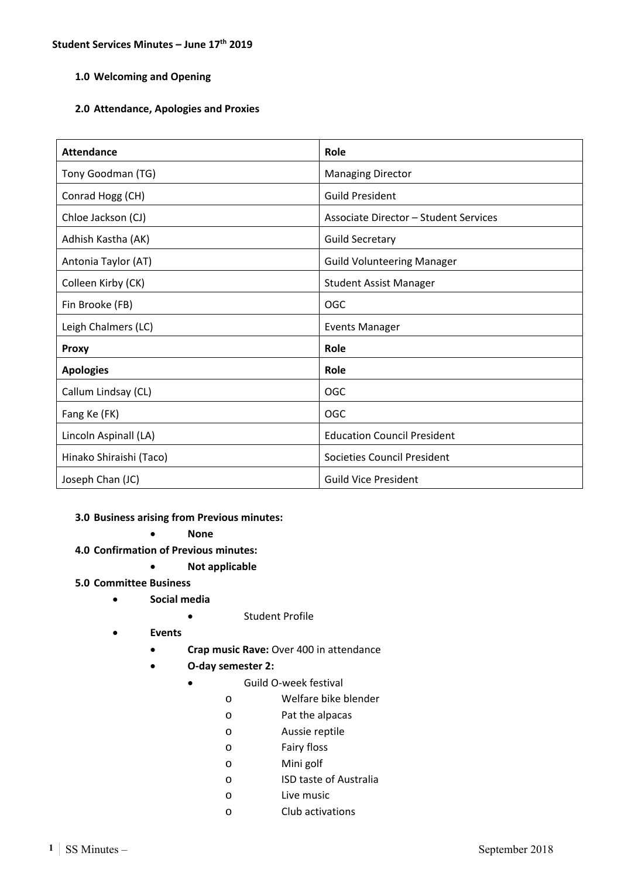# **1.0 Welcoming and Opening**

## **2.0 Attendance, Apologies and Proxies**

| Attendance              | Role                                         |
|-------------------------|----------------------------------------------|
| Tony Goodman (TG)       | <b>Managing Director</b>                     |
| Conrad Hogg (CH)        | <b>Guild President</b>                       |
| Chloe Jackson (CJ)      | <b>Associate Director - Student Services</b> |
| Adhish Kastha (AK)      | <b>Guild Secretary</b>                       |
| Antonia Taylor (AT)     | <b>Guild Volunteering Manager</b>            |
| Colleen Kirby (CK)      | <b>Student Assist Manager</b>                |
| Fin Brooke (FB)         | <b>OGC</b>                                   |
| Leigh Chalmers (LC)     | <b>Events Manager</b>                        |
| <b>Proxy</b>            | Role                                         |
| <b>Apologies</b>        | Role                                         |
| Callum Lindsay (CL)     | <b>OGC</b>                                   |
| Fang Ke (FK)            | OGC                                          |
| Lincoln Aspinall (LA)   | <b>Education Council President</b>           |
| Hinako Shiraishi (Taco) | <b>Societies Council President</b>           |
| Joseph Chan (JC)        | <b>Guild Vice President</b>                  |

#### **3.0 Business arising from Previous minutes:**

**None** 

- **4.0 Confirmation of Previous minutes:** 
	- **Not applicable**
- **5.0 Committee Business** 
	- **Social media** 
		- Student Profile
	- **Events** 
		- **Crap music Rave:** Over 400 in attendance
		- **O‐day semester 2:** 
			- Guild O‐week festival
				- o Welfare bike blender
				- o Pat the alpacas
				- o Aussie reptile
				- o Fairy floss
				- o Mini golf
				- o ISD taste of Australia
				- o Live music
				- o Club activations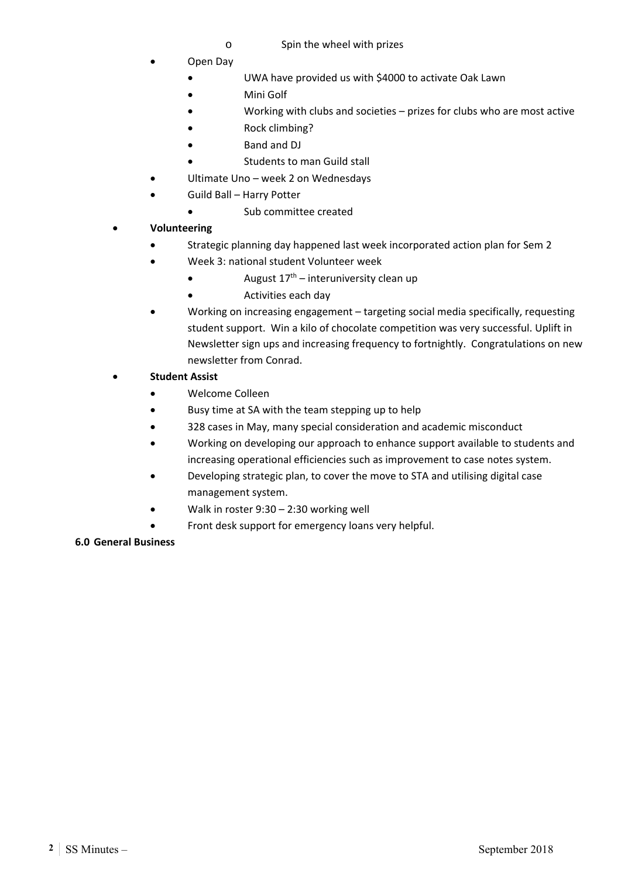- o Spin the wheel with prizes
- Open Day
	- UWA have provided us with \$4000 to activate Oak Lawn
	- Mini Golf
	- Working with clubs and societies prizes for clubs who are most active
	- Rock climbing?
	- Band and DJ
	- Students to man Guild stall
- Ultimate Uno week 2 on Wednesdays
- Guild Ball Harry Potter
	- Sub committee created
- **Volunteering** 
	- Strategic planning day happened last week incorporated action plan for Sem 2
	- Week 3: national student Volunteer week
		- $\bullet$  August  $17<sup>th</sup>$  interuniversity clean up
		- Activities each day
	- Working on increasing engagement targeting social media specifically, requesting student support. Win a kilo of chocolate competition was very successful. Uplift in Newsletter sign ups and increasing frequency to fortnightly. Congratulations on new newsletter from Conrad.
- **Student Assist** 
	- Welcome Colleen
	- Busy time at SA with the team stepping up to help
	- 328 cases in May, many special consideration and academic misconduct
	- Working on developing our approach to enhance support available to students and increasing operational efficiencies such as improvement to case notes system.
	- Developing strategic plan, to cover the move to STA and utilising digital case management system.
	- Walk in roster 9:30 2:30 working well
	- Front desk support for emergency loans very helpful.

# **6.0 General Business**